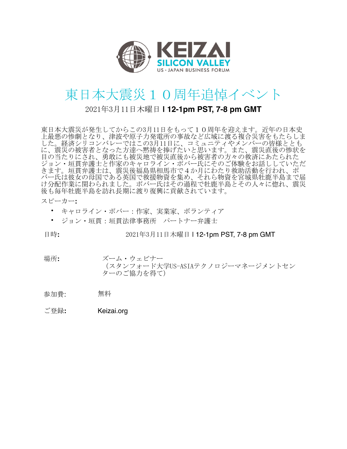

## 東日本大震災10周年追悼イベント

## 2021年3月11日木曜日 | 12-1pm PST, 7-8 pm GMT

東日本大震災が発生してからこの3月11日をもって10周年を迎えます。近年の日本史 上最悪の惨劇となり、津波や原子力発電所の事故など広域に渡る複合災害をもたらしま エネ。経済シリコンバレーではこの3月11日に、コミュニティやメンバーの皆様ととも<br>に、震災の被害者となった方達へ黙祷を捧げたいと思います。また、震災直後の惨状を 目の当たりにされ、勇敢にも被災地で被災直後から被害者の方々の救済にあたられた ジョン・垣貫弁護士と作家のキャロライン・ポバー氏にそのご体験をお話ししていただ<br>きます。垣貫弁護士は、震災後福島県相馬市で4か月にわたり救助活動を行われ、ポ バー氏は彼女の母国である英国で救援物資を集め、それら物資を宮城県牡鹿半島まで届 け分配作業に関わられました。ポバー氏はその過程で牡鹿半島とその人々に惚れ、震災 後も毎年牡鹿半島を訪れ長期に渡り復興に貢献されています。

## スピーカー:

- キャロライン・ポバー:作家、実業家、ボランティア
- ジョン・垣貫:垣貫法律事務所 パートナー弁護士

日時:

2021年3月11日木曜日 | 12-1pm PST, 7-8 pm GMT

場所: ズーム・ウェビナー

(スタンフォード大学US-ASIAテクノロジーマネージメントセン ターのご協力を得て)

- 無料 参加費:
- ご登録: Keizai.org